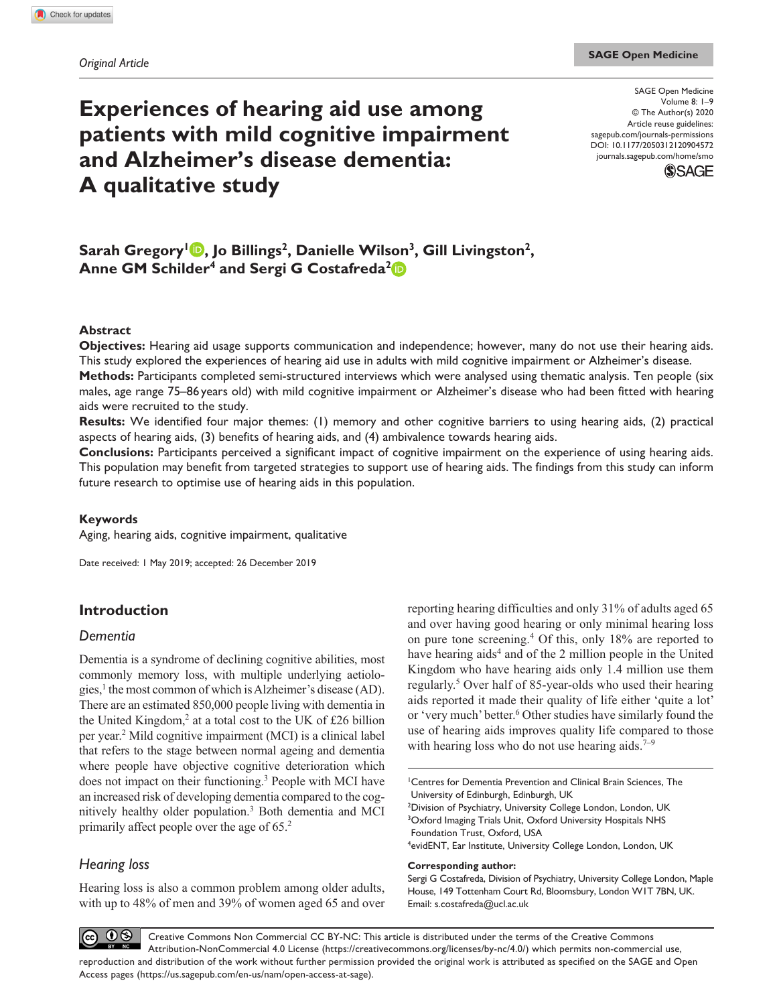# **Experiences of hearing aid use among patients with mild cognitive impairment and Alzheimer's disease dementia: A qualitative study**

DOI: 10.1177/2050312120904572 SAGE Open Medicine Volume 8: 1–9 © The Author(s) 2020 Article reuse guidelines: [sagepub.com/journals-permissions](https://uk.sagepub.com/en-gb/journals-permissions) [journals.sagepub.com/home/smo](https://journals.sagepub.com/home/smo)



Sarah Gregory<sup>1</sup> **D**, Jo Billings<sup>2</sup>, Danielle Wilson<sup>3</sup>, Gill Livingston<sup>2</sup>, Anne GM Schilder<sup>4</sup> and Sergi G Costafreda<sup>2</sup><sup>(D</sup>

#### **Abstract**

**Objectives:** Hearing aid usage supports communication and independence; however, many do not use their hearing aids. This study explored the experiences of hearing aid use in adults with mild cognitive impairment or Alzheimer's disease.

**Methods:** Participants completed semi-structured interviews which were analysed using thematic analysis. Ten people (six males, age range 75–86years old) with mild cognitive impairment or Alzheimer's disease who had been fitted with hearing aids were recruited to the study.

**Results:** We identified four major themes: (1) memory and other cognitive barriers to using hearing aids, (2) practical aspects of hearing aids, (3) benefits of hearing aids, and (4) ambivalence towards hearing aids.

**Conclusions:** Participants perceived a significant impact of cognitive impairment on the experience of using hearing aids. This population may benefit from targeted strategies to support use of hearing aids. The findings from this study can inform future research to optimise use of hearing aids in this population.

#### **Keywords**

Aging, hearing aids, cognitive impairment, qualitative

Date received: 1 May 2019; accepted: 26 December 2019

# **Introduction**

#### *Dementia*

Dementia is a syndrome of declining cognitive abilities, most commonly memory loss, with multiple underlying aetiologies,<sup>1</sup> the most common of which is Alzheimer's disease (AD). There are an estimated 850,000 people living with dementia in the United Kingdom,<sup>2</sup> at a total cost to the UK of £26 billion per year.<sup>2</sup> Mild cognitive impairment (MCI) is a clinical label that refers to the stage between normal ageing and dementia where people have objective cognitive deterioration which does not impact on their functioning.<sup>3</sup> People with MCI have an increased risk of developing dementia compared to the cognitively healthy older population.<sup>3</sup> Both dementia and MCI primarily affect people over the age of 65.<sup>2</sup>

# *Hearing loss*

Hearing loss is also a common problem among older adults, with up to 48% of men and 39% of women aged 65 and over

reporting hearing difficulties and only 31% of adults aged 65 and over having good hearing or only minimal hearing loss on pure tone screening.4 Of this, only 18% are reported to have hearing aids<sup>4</sup> and of the 2 million people in the United Kingdom who have hearing aids only 1.4 million use them regularly.<sup>5</sup> Over half of 85-year-olds who used their hearing aids reported it made their quality of life either 'quite a lot' or 'very much' better.<sup>6</sup> Other studies have similarly found the use of hearing aids improves quality life compared to those with hearing loss who do not use hearing aids.<sup>7–9</sup>

1 Centres for Dementia Prevention and Clinical Brain Sciences, The University of Edinburgh, Edinburgh, UK <sup>2</sup>Division of Psychiatry, University College London, London, UK <sup>3</sup>Oxford Imaging Trials Unit, Oxford University Hospitals NHS Foundation Trust, Oxford, USA 4 evidENT, Ear Institute, University College London, London, UK

#### **Corresponding author:**

Sergi G Costafreda, Division of Psychiatry, University College London, Maple House, 149 Tottenham Court Rd, Bloomsbury, London W1T 7BN, UK. Email: [s.costafreda@ucl.ac.uk](mailto:s.costafreda@ucl.ac.uk)

 $\odot\otimes$ Creative Commons Non Commercial CC BY-NC: This article is distributed under the terms of the Creative Commons  $(cc)$ Attribution-NonCommercial 4.0 License (https://creativecommons.org/licenses/by-nc/4.0/) which permits non-commercial use, reproduction and distribution of the work without further permission provided the original work is attributed as specified on the SAGE and Open Access pages (https://us.sagepub.com/en-us/nam/open-access-at-sage).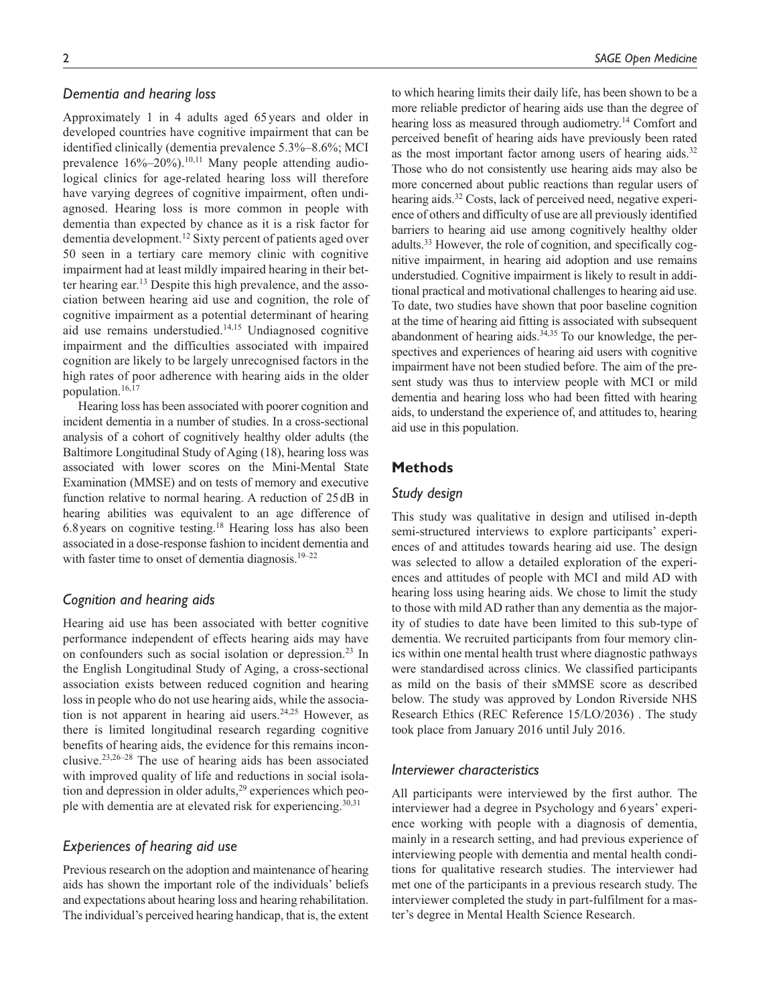## *Dementia and hearing loss*

Approximately 1 in 4 adults aged 65 years and older in developed countries have cognitive impairment that can be identified clinically (dementia prevalence 5.3%–8.6%; MCI prevalence  $16\% - 20\%$ ).<sup>10,11</sup> Many people attending audiological clinics for age-related hearing loss will therefore have varying degrees of cognitive impairment, often undiagnosed. Hearing loss is more common in people with dementia than expected by chance as it is a risk factor for dementia development.12 Sixty percent of patients aged over 50 seen in a tertiary care memory clinic with cognitive impairment had at least mildly impaired hearing in their better hearing ear.<sup>13</sup> Despite this high prevalence, and the association between hearing aid use and cognition, the role of cognitive impairment as a potential determinant of hearing aid use remains understudied.14,15 Undiagnosed cognitive impairment and the difficulties associated with impaired cognition are likely to be largely unrecognised factors in the high rates of poor adherence with hearing aids in the older population.16,17

Hearing loss has been associated with poorer cognition and incident dementia in a number of studies. In a cross-sectional analysis of a cohort of cognitively healthy older adults (the Baltimore Longitudinal Study of Aging (18), hearing loss was associated with lower scores on the Mini-Mental State Examination (MMSE) and on tests of memory and executive function relative to normal hearing. A reduction of 25dB in hearing abilities was equivalent to an age difference of 6.8years on cognitive testing.18 Hearing loss has also been associated in a dose-response fashion to incident dementia and with faster time to onset of dementia diagnosis.<sup>19–22</sup>

# *Cognition and hearing aids*

Hearing aid use has been associated with better cognitive performance independent of effects hearing aids may have on confounders such as social isolation or depression.<sup>23</sup> In the English Longitudinal Study of Aging, a cross-sectional association exists between reduced cognition and hearing loss in people who do not use hearing aids, while the association is not apparent in hearing aid users. $24,25$  However, as there is limited longitudinal research regarding cognitive benefits of hearing aids, the evidence for this remains inconclusive.23,26–28 The use of hearing aids has been associated with improved quality of life and reductions in social isolation and depression in older adults,<sup>29</sup> experiences which people with dementia are at elevated risk for experiencing.<sup>30,31</sup>

#### *Experiences of hearing aid use*

Previous research on the adoption and maintenance of hearing aids has shown the important role of the individuals' beliefs and expectations about hearing loss and hearing rehabilitation. The individual's perceived hearing handicap, that is, the extent to which hearing limits their daily life, has been shown to be a more reliable predictor of hearing aids use than the degree of hearing loss as measured through audiometry.<sup>14</sup> Comfort and perceived benefit of hearing aids have previously been rated as the most important factor among users of hearing aids. $32$ Those who do not consistently use hearing aids may also be more concerned about public reactions than regular users of hearing aids.<sup>32</sup> Costs, lack of perceived need, negative experience of others and difficulty of use are all previously identified barriers to hearing aid use among cognitively healthy older adults.33 However, the role of cognition, and specifically cognitive impairment, in hearing aid adoption and use remains understudied. Cognitive impairment is likely to result in additional practical and motivational challenges to hearing aid use. To date, two studies have shown that poor baseline cognition at the time of hearing aid fitting is associated with subsequent abandonment of hearing aids. $34,35$  To our knowledge, the perspectives and experiences of hearing aid users with cognitive impairment have not been studied before. The aim of the present study was thus to interview people with MCI or mild dementia and hearing loss who had been fitted with hearing aids, to understand the experience of, and attitudes to, hearing aid use in this population.

## **Methods**

#### *Study design*

This study was qualitative in design and utilised in-depth semi-structured interviews to explore participants' experiences of and attitudes towards hearing aid use. The design was selected to allow a detailed exploration of the experiences and attitudes of people with MCI and mild AD with hearing loss using hearing aids. We chose to limit the study to those with mild AD rather than any dementia as the majority of studies to date have been limited to this sub-type of dementia. We recruited participants from four memory clinics within one mental health trust where diagnostic pathways were standardised across clinics. We classified participants as mild on the basis of their sMMSE score as described below. The study was approved by London Riverside NHS Research Ethics (REC Reference 15/LO/2036) . The study took place from January 2016 until July 2016.

#### *Interviewer characteristics*

All participants were interviewed by the first author. The interviewer had a degree in Psychology and 6years' experience working with people with a diagnosis of dementia, mainly in a research setting, and had previous experience of interviewing people with dementia and mental health conditions for qualitative research studies. The interviewer had met one of the participants in a previous research study. The interviewer completed the study in part-fulfilment for a master's degree in Mental Health Science Research.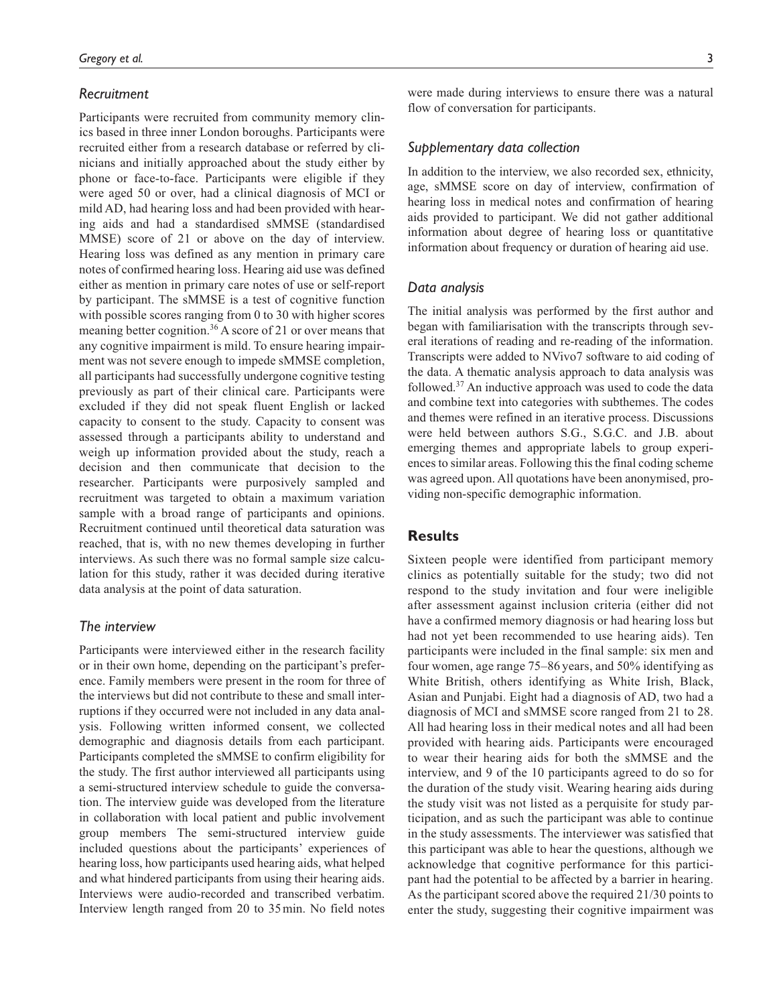#### *Recruitment*

Participants were recruited from community memory clinics based in three inner London boroughs. Participants were recruited either from a research database or referred by clinicians and initially approached about the study either by phone or face-to-face. Participants were eligible if they were aged 50 or over, had a clinical diagnosis of MCI or mild AD, had hearing loss and had been provided with hearing aids and had a standardised sMMSE (standardised MMSE) score of 21 or above on the day of interview. Hearing loss was defined as any mention in primary care notes of confirmed hearing loss. Hearing aid use was defined either as mention in primary care notes of use or self-report by participant. The sMMSE is a test of cognitive function with possible scores ranging from 0 to 30 with higher scores meaning better cognition.<sup>36</sup> A score of 21 or over means that any cognitive impairment is mild. To ensure hearing impairment was not severe enough to impede sMMSE completion, all participants had successfully undergone cognitive testing previously as part of their clinical care. Participants were excluded if they did not speak fluent English or lacked capacity to consent to the study. Capacity to consent was assessed through a participants ability to understand and weigh up information provided about the study, reach a decision and then communicate that decision to the researcher. Participants were purposively sampled and recruitment was targeted to obtain a maximum variation sample with a broad range of participants and opinions. Recruitment continued until theoretical data saturation was reached, that is, with no new themes developing in further interviews. As such there was no formal sample size calculation for this study, rather it was decided during iterative data analysis at the point of data saturation.

#### *The interview*

Participants were interviewed either in the research facility or in their own home, depending on the participant's preference. Family members were present in the room for three of the interviews but did not contribute to these and small interruptions if they occurred were not included in any data analysis. Following written informed consent, we collected demographic and diagnosis details from each participant. Participants completed the sMMSE to confirm eligibility for the study. The first author interviewed all participants using a semi-structured interview schedule to guide the conversation. The interview guide was developed from the literature in collaboration with local patient and public involvement group members The semi-structured interview guide included questions about the participants' experiences of hearing loss, how participants used hearing aids, what helped and what hindered participants from using their hearing aids. Interviews were audio-recorded and transcribed verbatim. Interview length ranged from 20 to 35min. No field notes

were made during interviews to ensure there was a natural flow of conversation for participants.

## *Supplementary data collection*

In addition to the interview, we also recorded sex, ethnicity, age, sMMSE score on day of interview, confirmation of hearing loss in medical notes and confirmation of hearing aids provided to participant. We did not gather additional information about degree of hearing loss or quantitative information about frequency or duration of hearing aid use.

#### *Data analysis*

The initial analysis was performed by the first author and began with familiarisation with the transcripts through several iterations of reading and re-reading of the information. Transcripts were added to NVivo7 software to aid coding of the data. A thematic analysis approach to data analysis was followed. $37$  An inductive approach was used to code the data and combine text into categories with subthemes. The codes and themes were refined in an iterative process. Discussions were held between authors S.G., S.G.C. and J.B. about emerging themes and appropriate labels to group experiences to similar areas. Following this the final coding scheme was agreed upon. All quotations have been anonymised, providing non-specific demographic information.

# **Results**

Sixteen people were identified from participant memory clinics as potentially suitable for the study; two did not respond to the study invitation and four were ineligible after assessment against inclusion criteria (either did not have a confirmed memory diagnosis or had hearing loss but had not yet been recommended to use hearing aids). Ten participants were included in the final sample: six men and four women, age range 75–86 years, and 50% identifying as White British, others identifying as White Irish, Black, Asian and Punjabi. Eight had a diagnosis of AD, two had a diagnosis of MCI and sMMSE score ranged from 21 to 28. All had hearing loss in their medical notes and all had been provided with hearing aids. Participants were encouraged to wear their hearing aids for both the sMMSE and the interview, and 9 of the 10 participants agreed to do so for the duration of the study visit. Wearing hearing aids during the study visit was not listed as a perquisite for study participation, and as such the participant was able to continue in the study assessments. The interviewer was satisfied that this participant was able to hear the questions, although we acknowledge that cognitive performance for this participant had the potential to be affected by a barrier in hearing. As the participant scored above the required 21/30 points to enter the study, suggesting their cognitive impairment was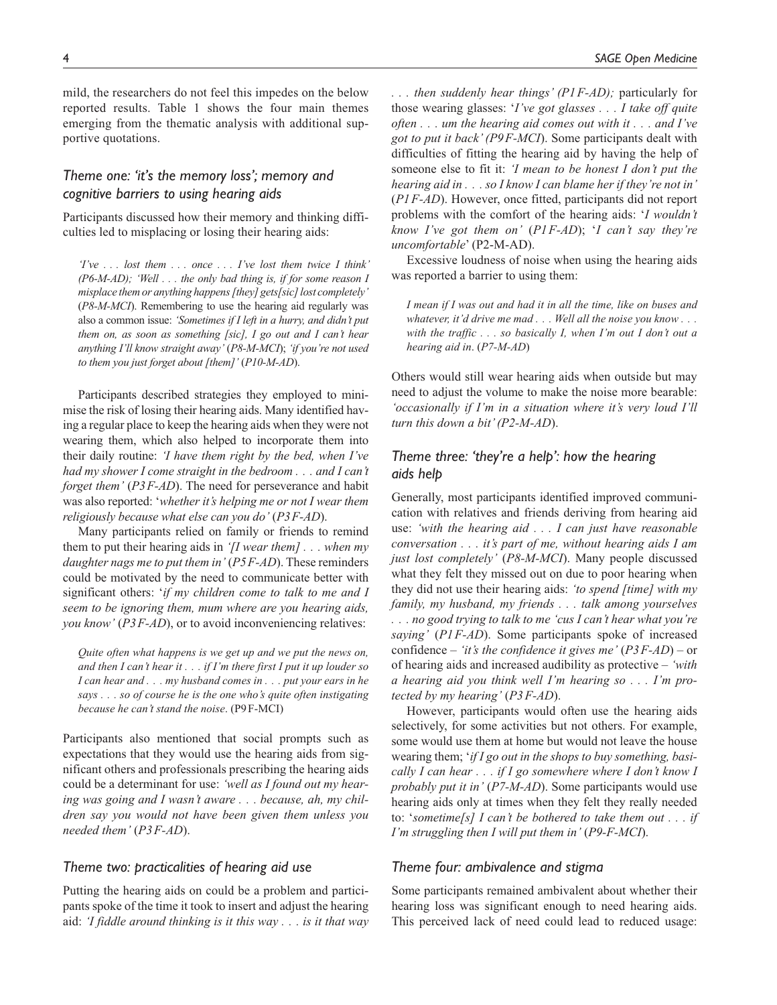mild, the researchers do not feel this impedes on the below reported results. Table 1 shows the four main themes emerging from the thematic analysis with additional supportive quotations.

# *Theme one: 'it's the memory loss'; memory and cognitive barriers to using hearing aids*

Participants discussed how their memory and thinking difficulties led to misplacing or losing their hearing aids:

*'I've . . . lost them . . . once . . . I've lost them twice I think' (P6-M-AD); 'Well . . . the only bad thing is, if for some reason I misplace them or anything happens [they] gets[sic] lost completely'* (*P8-M-MCI*). Remembering to use the hearing aid regularly was also a common issue: *'Sometimes if I left in a hurry, and didn't put them on, as soon as something [sic], I go out and I can't hear anything I'll know straight away'* (*P8-M-MCI*); *'if you're not used to them you just forget about [them]'* (*P10-M-AD*).

Participants described strategies they employed to minimise the risk of losing their hearing aids. Many identified having a regular place to keep the hearing aids when they were not wearing them, which also helped to incorporate them into their daily routine: *'I have them right by the bed, when I've had my shower I come straight in the bedroom . . . and I can't forget them'* (*P3F-AD*). The need for perseverance and habit was also reported: '*whether it's helping me or not I wear them religiously because what else can you do'* (*P3F-AD*).

Many participants relied on family or friends to remind them to put their hearing aids in *'[I wear them] . . . when my daughter nags me to put them in'* (*P5F-AD*). These reminders could be motivated by the need to communicate better with significant others: '*if my children come to talk to me and I seem to be ignoring them, mum where are you hearing aids, you know'* (*P3F-AD*), or to avoid inconveniencing relatives:

*Quite often what happens is we get up and we put the news on, and then I can't hear it . . . if I'm there first I put it up louder so I can hear and . . . my husband comes in . . . put your ears in he says . . . so of course he is the one who's quite often instigating because he can't stand the noise*. (P9F-MCI)

Participants also mentioned that social prompts such as expectations that they would use the hearing aids from significant others and professionals prescribing the hearing aids could be a determinant for use: *'well as I found out my hearing was going and I wasn't aware . . . because, ah, my children say you would not have been given them unless you needed them'* (*P3F-AD*).

## *Theme two: practicalities of hearing aid use*

Putting the hearing aids on could be a problem and participants spoke of the time it took to insert and adjust the hearing aid: *'I fiddle around thinking is it this way . . . is it that way*  *. . . then suddenly hear things' (P1F-AD);* particularly for those wearing glasses: '*I've got glasses . . . I take off quite often . . . um the hearing aid comes out with it . . . and I've got to put it back' (P9F-MCI*). Some participants dealt with difficulties of fitting the hearing aid by having the help of someone else to fit it: *'I mean to be honest I don't put the hearing aid in . . . so I know I can blame her if they're not in'* (*P1F-AD*). However, once fitted, participants did not report problems with the comfort of the hearing aids: '*I wouldn't know I've got them on'* (*P1F-AD*); '*I can't say they're uncomfortable*' (P2-M-AD).

Excessive loudness of noise when using the hearing aids was reported a barrier to using them:

*I mean if I was out and had it in all the time, like on buses and whatever, it'd drive me mad . . . Well all the noise you know . . . with the traffic . . . so basically I, when I'm out I don't out a hearing aid in*. (*P7-M-AD*)

Others would still wear hearing aids when outside but may need to adjust the volume to make the noise more bearable: *'occasionally if I'm in a situation where it's very loud I'll turn this down a bit' (P2-M-AD*).

# *Theme three: 'they're a help': how the hearing aids help*

Generally, most participants identified improved communication with relatives and friends deriving from hearing aid use: *'with the hearing aid . . . I can just have reasonable conversation . . . it's part of me, without hearing aids I am just lost completely'* (*P8-M-MCI*). Many people discussed what they felt they missed out on due to poor hearing when they did not use their hearing aids: *'to spend [time] with my family, my husband, my friends . . . talk among yourselves . . . no good trying to talk to me 'cus I can't hear what you're saying'* (*P1F-AD*). Some participants spoke of increased confidence – *'it's the confidence it gives me'* (*P3F-AD*) – or of hearing aids and increased audibility as protective – *'with a hearing aid you think well I'm hearing so . . . I'm protected by my hearing'* (*P3F-AD*).

However, participants would often use the hearing aids selectively, for some activities but not others. For example, some would use them at home but would not leave the house wearing them; '*if I go out in the shops to buy something, basically I can hear . . . if I go somewhere where I don't know I probably put it in'* (*P7-M-AD*). Some participants would use hearing aids only at times when they felt they really needed to: '*sometime[s] I can't be bothered to take them out . . . if I'm struggling then I will put them in'* (*P9-F-MCI*).

## *Theme four: ambivalence and stigma*

Some participants remained ambivalent about whether their hearing loss was significant enough to need hearing aids. This perceived lack of need could lead to reduced usage: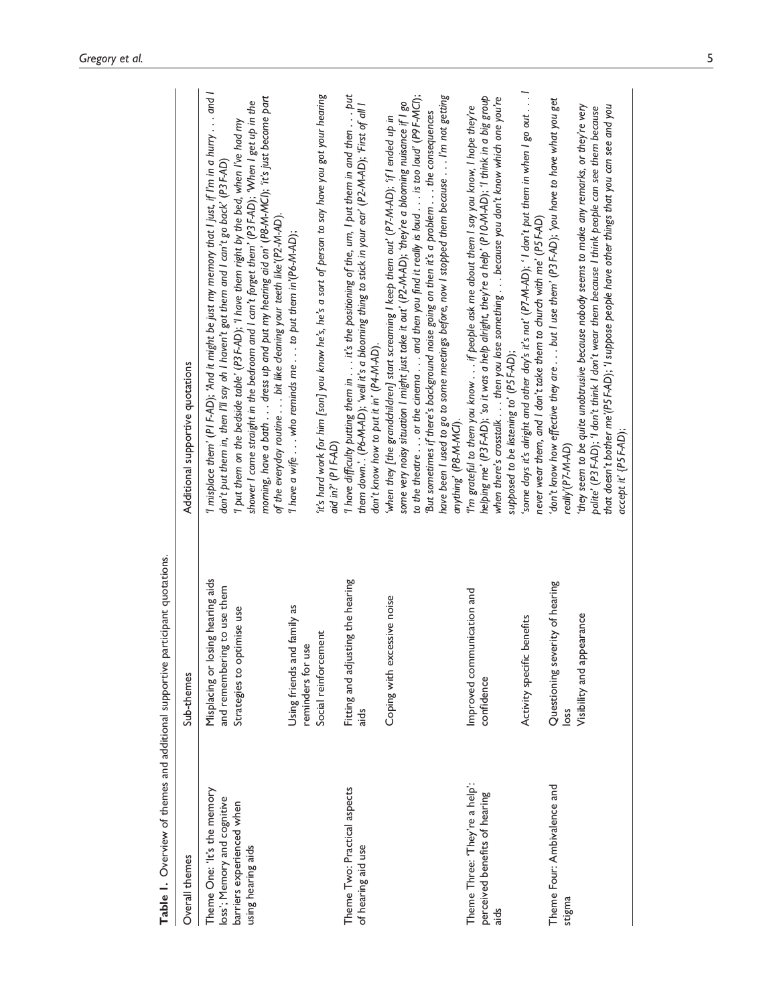| Table 1. Overview of themes and additional supportive p                                                       | participant quotations.                                                                        |                                                                                                                                                                                                                                                                                                                                                                                                                                                                                                                                                                    |
|---------------------------------------------------------------------------------------------------------------|------------------------------------------------------------------------------------------------|--------------------------------------------------------------------------------------------------------------------------------------------------------------------------------------------------------------------------------------------------------------------------------------------------------------------------------------------------------------------------------------------------------------------------------------------------------------------------------------------------------------------------------------------------------------------|
| Overall themes                                                                                                | Sub-themes                                                                                     | Additional supportive quotations                                                                                                                                                                                                                                                                                                                                                                                                                                                                                                                                   |
| Theme One: 'It's the memory<br>loss'; Memory and cognitive<br>barriers experienced when<br>using hearing aids | Misplacing or losing hearing aids<br>and remembering to use them<br>Strategies to optimise use | I misplace them' (PI F-AD); 'And it might be just my memory that I just, if I'm in a hurry and I<br>morning, have a bath dress up and put my hearing aid on' (P8-M-MCI); it's just become part<br>shower I come straight in the bedroom and I can't forget them' (P3 F-AD); 'When I get up in the<br>'I put them on the bedside table' (P3 F-AD); 'I have them right by the bed, when I've had my<br>don't put them in, then I'll say oh I haven't got them and I can't go back' (P3 F-AD)<br>of the everyday routine bit like cleaning your teeth like'(P2-M-AD). |
|                                                                                                               | Using friends and family as<br>Social reinforcement<br>reminders for use                       | it's hard work for him [son] you know he's, he's a sort of person to say have you got your hearing<br>'I have a wife $\ldots$ who reminds me $\ldots$ to put them in (P6-M-AD);<br>aid in?' (PI F-AD)                                                                                                                                                                                                                                                                                                                                                              |
| Theme Two: Practical aspects<br>of hearing aid use                                                            | Fitting and adjusting the hearing<br>aids                                                      | I have difficulty putting them in $\ldots$ it's the positioning of the, um, I put them in and then $\ldots$ . put<br>them down.'. (P6-M-AD); 'well it's a blooming thing to stick in your ear' (P2-M-AD); 'First of all l<br>don't know how to put it in' (P4-M-AD).                                                                                                                                                                                                                                                                                               |
|                                                                                                               | Coping with excessive noise                                                                    | to the theatre or the cinema and then you find it really is loud is too loud' (P9 F-MCI);<br>have been I used to go to some meetings before, now I stopped them because I'm not getting<br>some very noisy situation I might just take it out' (P2-M-AD); 'they're a blooming nuisance if I go<br>But sometimes if there's background noise going on then it's a problem the consequences<br>when they [the grandchildren] start screaming I keep them out' (P7-M-AD); 'ff I ended up in<br>anything' (P8-M-MCI).                                                  |
| Theme Three: 'They're a help':<br>perceived benefits of hearing<br>$rac{1}{a}$                                | Improved communication and<br>confidence                                                       | helping me' (P3F-AD); 'so it was a help alright, they're a help' (P10-M-AD); 'I think in a big group<br>when there's crosstalk then you lose something because you don't know which one you're<br>I'm grateful to them you know if people ask me about them I say you know, I hope they're<br>supposed to be listening to' (P5 F-AD);                                                                                                                                                                                                                              |
|                                                                                                               | Activity specific benefits                                                                     | 'some days it's alright and other day's it's not' (P7-M-AD); ' I don't put them in when I go out I<br>never wear them, and I don't take them to church with me' (P5 F-AD)                                                                                                                                                                                                                                                                                                                                                                                          |
| Theme Four: Ambivalence and<br>stigma                                                                         | Questioning severity of hearing<br>loss                                                        | 'don't know how effective they are but I use them' (P3 F-AD); 'you have to have what you get<br>really'(P7-M-AD)                                                                                                                                                                                                                                                                                                                                                                                                                                                   |
|                                                                                                               | Visibility and appearance                                                                      | they seem to be quite unobtrusive because nobody seems to make any remarks, or they're very<br>that doesn't bother me'(P5 F-AD); 'I suppose people have other things that you can see and you<br>polite' (P3F-AD); 'I don't think I don't wear them because I think people can see them because<br>accept it' {P5 F-AD);                                                                                                                                                                                                                                           |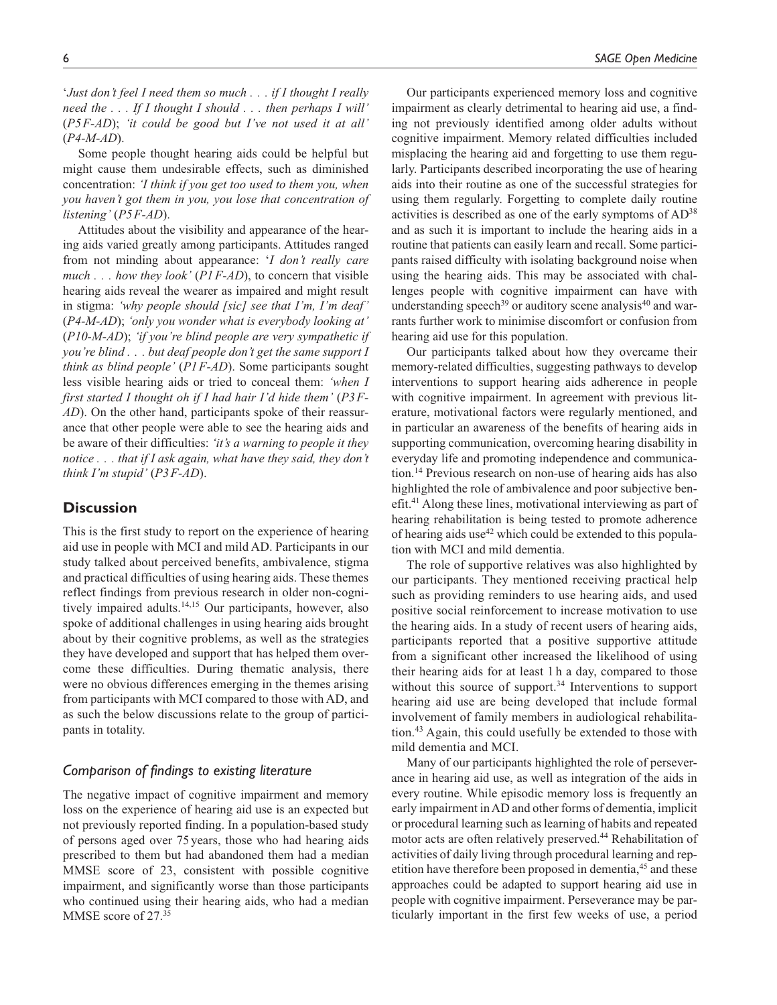'*Just don't feel I need them so much . . . if I thought I really need the . . . If I thought I should . . . then perhaps I will'* (*P5F-AD*); *'it could be good but I've not used it at all'* (*P4-M-AD*).

Some people thought hearing aids could be helpful but might cause them undesirable effects, such as diminished concentration: *'I think if you get too used to them you, when you haven't got them in you, you lose that concentration of listening'* (*P5F-AD*).

Attitudes about the visibility and appearance of the hearing aids varied greatly among participants. Attitudes ranged from not minding about appearance: '*I don't really care much . . . how they look'* (*P1F-AD*), to concern that visible hearing aids reveal the wearer as impaired and might result in stigma: *'why people should [sic] see that I'm, I'm deaf'* (*P4-M-AD*); *'only you wonder what is everybody looking at'* (*P10-M-AD*); *'if you're blind people are very sympathetic if you're blind . . . but deaf people don't get the same support I think as blind people'* (*P1F-AD*). Some participants sought less visible hearing aids or tried to conceal them: *'when I first started I thought oh if I had hair I'd hide them'* (*P3F-AD*). On the other hand, participants spoke of their reassurance that other people were able to see the hearing aids and be aware of their difficulties: *'it's a warning to people it they notice . . . that if I ask again, what have they said, they don't think I'm stupid'* (*P3F-AD*).

## **Discussion**

This is the first study to report on the experience of hearing aid use in people with MCI and mild AD. Participants in our study talked about perceived benefits, ambivalence, stigma and practical difficulties of using hearing aids. These themes reflect findings from previous research in older non-cognitively impaired adults.14,15 Our participants, however, also spoke of additional challenges in using hearing aids brought about by their cognitive problems, as well as the strategies they have developed and support that has helped them overcome these difficulties. During thematic analysis, there were no obvious differences emerging in the themes arising from participants with MCI compared to those with AD, and as such the below discussions relate to the group of participants in totality.

## *Comparison of findings to existing literature*

The negative impact of cognitive impairment and memory loss on the experience of hearing aid use is an expected but not previously reported finding. In a population-based study of persons aged over 75years, those who had hearing aids prescribed to them but had abandoned them had a median MMSE score of 23, consistent with possible cognitive impairment, and significantly worse than those participants who continued using their hearing aids, who had a median MMSE score of 27.35

Our participants experienced memory loss and cognitive impairment as clearly detrimental to hearing aid use, a finding not previously identified among older adults without cognitive impairment. Memory related difficulties included misplacing the hearing aid and forgetting to use them regularly. Participants described incorporating the use of hearing aids into their routine as one of the successful strategies for using them regularly. Forgetting to complete daily routine activities is described as one of the early symptoms of  $AD^{38}$ and as such it is important to include the hearing aids in a routine that patients can easily learn and recall. Some participants raised difficulty with isolating background noise when using the hearing aids. This may be associated with challenges people with cognitive impairment can have with understanding speech<sup>39</sup> or auditory scene analysis<sup>40</sup> and war-

hearing aid use for this population. Our participants talked about how they overcame their memory-related difficulties, suggesting pathways to develop interventions to support hearing aids adherence in people with cognitive impairment. In agreement with previous literature, motivational factors were regularly mentioned, and in particular an awareness of the benefits of hearing aids in supporting communication, overcoming hearing disability in everyday life and promoting independence and communication.14 Previous research on non-use of hearing aids has also highlighted the role of ambivalence and poor subjective benefit.41 Along these lines, motivational interviewing as part of hearing rehabilitation is being tested to promote adherence of hearing aids use<sup>42</sup> which could be extended to this population with MCI and mild dementia.

rants further work to minimise discomfort or confusion from

The role of supportive relatives was also highlighted by our participants. They mentioned receiving practical help such as providing reminders to use hearing aids, and used positive social reinforcement to increase motivation to use the hearing aids. In a study of recent users of hearing aids, participants reported that a positive supportive attitude from a significant other increased the likelihood of using their hearing aids for at least 1 h a day, compared to those without this source of support.<sup>34</sup> Interventions to support hearing aid use are being developed that include formal involvement of family members in audiological rehabilitation.43 Again, this could usefully be extended to those with mild dementia and MCI.

Many of our participants highlighted the role of perseverance in hearing aid use, as well as integration of the aids in every routine. While episodic memory loss is frequently an early impairment in AD and other forms of dementia, implicit or procedural learning such as learning of habits and repeated motor acts are often relatively preserved.<sup>44</sup> Rehabilitation of activities of daily living through procedural learning and repetition have therefore been proposed in dementia,<sup>45</sup> and these approaches could be adapted to support hearing aid use in people with cognitive impairment. Perseverance may be particularly important in the first few weeks of use, a period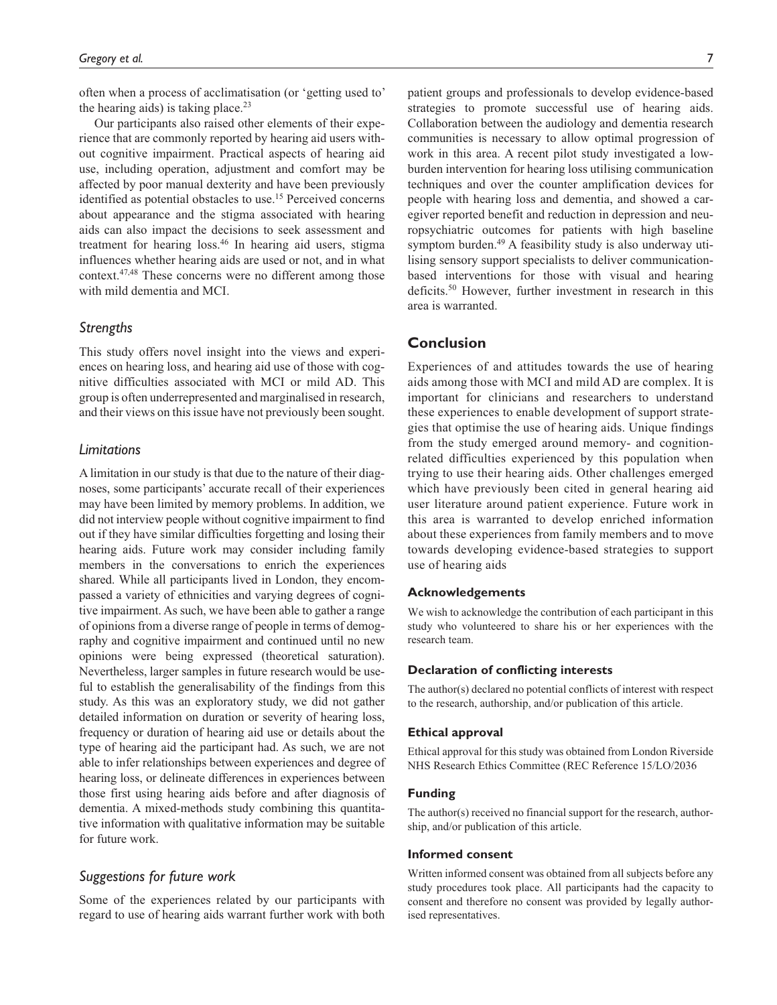often when a process of acclimatisation (or 'getting used to' the hearing aids) is taking place. $2<sup>3</sup>$ 

Our participants also raised other elements of their experience that are commonly reported by hearing aid users without cognitive impairment. Practical aspects of hearing aid use, including operation, adjustment and comfort may be affected by poor manual dexterity and have been previously identified as potential obstacles to use.<sup>15</sup> Perceived concerns about appearance and the stigma associated with hearing aids can also impact the decisions to seek assessment and treatment for hearing loss.46 In hearing aid users, stigma influences whether hearing aids are used or not, and in what context.47,48 These concerns were no different among those with mild dementia and MCI.

# *Strengths*

This study offers novel insight into the views and experiences on hearing loss, and hearing aid use of those with cognitive difficulties associated with MCI or mild AD. This group is often underrepresented and marginalised in research, and their views on this issue have not previously been sought.

#### *Limitations*

A limitation in our study is that due to the nature of their diagnoses, some participants' accurate recall of their experiences may have been limited by memory problems. In addition, we did not interview people without cognitive impairment to find out if they have similar difficulties forgetting and losing their hearing aids. Future work may consider including family members in the conversations to enrich the experiences shared. While all participants lived in London, they encompassed a variety of ethnicities and varying degrees of cognitive impairment. As such, we have been able to gather a range of opinions from a diverse range of people in terms of demography and cognitive impairment and continued until no new opinions were being expressed (theoretical saturation). Nevertheless, larger samples in future research would be useful to establish the generalisability of the findings from this study. As this was an exploratory study, we did not gather detailed information on duration or severity of hearing loss, frequency or duration of hearing aid use or details about the type of hearing aid the participant had. As such, we are not able to infer relationships between experiences and degree of hearing loss, or delineate differences in experiences between those first using hearing aids before and after diagnosis of dementia. A mixed-methods study combining this quantitative information with qualitative information may be suitable for future work.

#### *Suggestions for future work*

Some of the experiences related by our participants with regard to use of hearing aids warrant further work with both

patient groups and professionals to develop evidence-based strategies to promote successful use of hearing aids. Collaboration between the audiology and dementia research communities is necessary to allow optimal progression of work in this area. A recent pilot study investigated a lowburden intervention for hearing loss utilising communication techniques and over the counter amplification devices for people with hearing loss and dementia, and showed a caregiver reported benefit and reduction in depression and neuropsychiatric outcomes for patients with high baseline symptom burden.<sup>49</sup> A feasibility study is also underway utilising sensory support specialists to deliver communicationbased interventions for those with visual and hearing deficits.<sup>50</sup> However, further investment in research in this area is warranted.

# **Conclusion**

Experiences of and attitudes towards the use of hearing aids among those with MCI and mild AD are complex. It is important for clinicians and researchers to understand these experiences to enable development of support strategies that optimise the use of hearing aids. Unique findings from the study emerged around memory- and cognitionrelated difficulties experienced by this population when trying to use their hearing aids. Other challenges emerged which have previously been cited in general hearing aid user literature around patient experience. Future work in this area is warranted to develop enriched information about these experiences from family members and to move towards developing evidence-based strategies to support use of hearing aids

#### **Acknowledgements**

We wish to acknowledge the contribution of each participant in this study who volunteered to share his or her experiences with the research team.

#### **Declaration of conflicting interests**

The author(s) declared no potential conflicts of interest with respect to the research, authorship, and/or publication of this article.

#### **Ethical approval**

Ethical approval for this study was obtained from London Riverside NHS Research Ethics Committee (REC Reference 15/LO/2036

#### **Funding**

The author(s) received no financial support for the research, authorship, and/or publication of this article.

#### **Informed consent**

Written informed consent was obtained from all subjects before any study procedures took place. All participants had the capacity to consent and therefore no consent was provided by legally authorised representatives.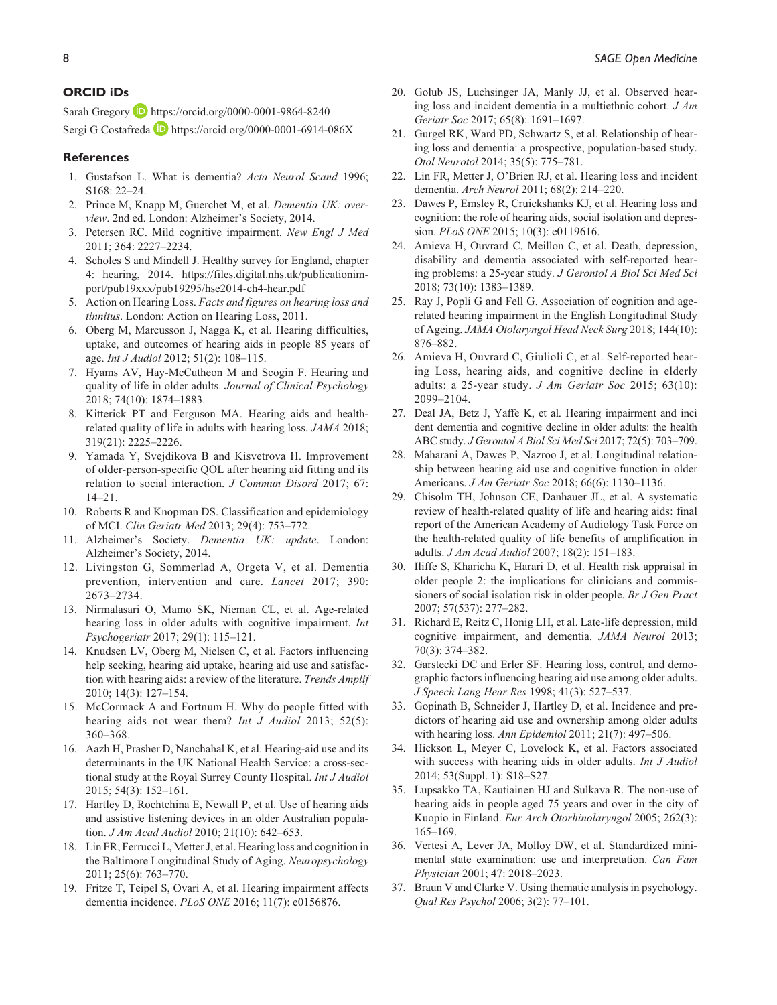## **ORCID iDs**

Sarah Gregory D <https://orcid.org/0000-0001-9864-8240> Sergi G Costafreda **<https://orcid.org/0000-0001-6914-086X>** 

#### **References**

- 1. Gustafson L. What is dementia? *Acta Neurol Scand* 1996; S168: 22–24.
- 2. Prince M, Knapp M, Guerchet M, et al. *Dementia UK: overview*. 2nd ed. London: Alzheimer's Society, 2014.
- 3. Petersen RC. Mild cognitive impairment. *New Engl J Med* 2011; 364: 2227–2234.
- 4. Scholes S and Mindell J. Healthy survey for England, chapter 4: hearing, 2014. [https://files.digital.nhs.uk/publicationim](https://files.digital.nhs.uk/publicationimport/pub19xxx/pub19295/hse2014-ch4-hear.pdf)[port/pub19xxx/pub19295/hse2014-ch4-hear.pdf](https://files.digital.nhs.uk/publicationimport/pub19xxx/pub19295/hse2014-ch4-hear.pdf)
- 5. Action on Hearing Loss. *Facts and figures on hearing loss and tinnitus*. London: Action on Hearing Loss, 2011.
- 6. Oberg M, Marcusson J, Nagga K, et al. Hearing difficulties, uptake, and outcomes of hearing aids in people 85 years of age. *Int J Audiol* 2012; 51(2): 108–115.
- 7. Hyams AV, Hay-McCutheon M and Scogin F. Hearing and quality of life in older adults. *Journal of Clinical Psychology* 2018; 74(10): 1874–1883.
- 8. Kitterick PT and Ferguson MA. Hearing aids and healthrelated quality of life in adults with hearing loss. *JAMA* 2018; 319(21): 2225–2226.
- 9. Yamada Y, Svejdikova B and Kisvetrova H. Improvement of older-person-specific QOL after hearing aid fitting and its relation to social interaction. *J Commun Disord* 2017; 67: 14–21.
- 10. Roberts R and Knopman DS. Classification and epidemiology of MCI. *Clin Geriatr Med* 2013; 29(4): 753–772.
- 11. Alzheimer's Society. *Dementia UK: update*. London: Alzheimer's Society, 2014.
- 12. Livingston G, Sommerlad A, Orgeta V, et al. Dementia prevention, intervention and care. *Lancet* 2017; 390: 2673–2734.
- 13. Nirmalasari O, Mamo SK, Nieman CL, et al. Age-related hearing loss in older adults with cognitive impairment. *Int Psychogeriatr* 2017; 29(1): 115–121.
- 14. Knudsen LV, Oberg M, Nielsen C, et al. Factors influencing help seeking, hearing aid uptake, hearing aid use and satisfaction with hearing aids: a review of the literature. *Trends Amplif* 2010; 14(3): 127–154.
- 15. McCormack A and Fortnum H. Why do people fitted with hearing aids not wear them? *Int J Audiol* 2013; 52(5): 360–368.
- 16. Aazh H, Prasher D, Nanchahal K, et al. Hearing-aid use and its determinants in the UK National Health Service: a cross-sectional study at the Royal Surrey County Hospital. *Int J Audiol* 2015; 54(3): 152–161.
- 17. Hartley D, Rochtchina E, Newall P, et al. Use of hearing aids and assistive listening devices in an older Australian population. *J Am Acad Audiol* 2010; 21(10): 642–653.
- 18. Lin FR, Ferrucci L, Metter J, et al. Hearing loss and cognition in the Baltimore Longitudinal Study of Aging. *Neuropsychology* 2011; 25(6): 763–770.
- 19. Fritze T, Teipel S, Ovari A, et al. Hearing impairment affects dementia incidence. *PLoS ONE* 2016; 11(7): e0156876.
- 20. Golub JS, Luchsinger JA, Manly JJ, et al. Observed hearing loss and incident dementia in a multiethnic cohort. *J Am Geriatr Soc* 2017; 65(8): 1691–1697.
- 21. Gurgel RK, Ward PD, Schwartz S, et al. Relationship of hearing loss and dementia: a prospective, population-based study. *Otol Neurotol* 2014; 35(5): 775–781.
- 22. Lin FR, Metter J, O'Brien RJ, et al. Hearing loss and incident dementia. *Arch Neurol* 2011; 68(2): 214–220.
- 23. Dawes P, Emsley R, Cruickshanks KJ, et al. Hearing loss and cognition: the role of hearing aids, social isolation and depression. *PLoS ONE* 2015; 10(3): e0119616.
- 24. Amieva H, Ouvrard C, Meillon C, et al. Death, depression, disability and dementia associated with self-reported hearing problems: a 25-year study. *J Gerontol A Biol Sci Med Sci* 2018; 73(10): 1383–1389.
- 25. Ray J, Popli G and Fell G. Association of cognition and agerelated hearing impairment in the English Longitudinal Study of Ageing. *JAMA Otolaryngol Head Neck Surg* 2018; 144(10): 876–882.
- 26. Amieva H, Ouvrard C, Giulioli C, et al. Self-reported hearing Loss, hearing aids, and cognitive decline in elderly adults: a 25-year study. *J Am Geriatr Soc* 2015; 63(10): 2099–2104.
- 27. Deal JA, Betz J, Yaffe K, et al. Hearing impairment and inci dent dementia and cognitive decline in older adults: the health ABC study. *J Gerontol A Biol Sci Med Sci* 2017; 72(5): 703–709.
- 28. Maharani A, Dawes P, Nazroo J, et al. Longitudinal relationship between hearing aid use and cognitive function in older Americans. *J Am Geriatr Soc* 2018; 66(6): 1130–1136.
- 29. Chisolm TH, Johnson CE, Danhauer JL, et al. A systematic review of health-related quality of life and hearing aids: final report of the American Academy of Audiology Task Force on the health-related quality of life benefits of amplification in adults. *J Am Acad Audiol* 2007; 18(2): 151–183.
- 30. Iliffe S, Kharicha K, Harari D, et al. Health risk appraisal in older people 2: the implications for clinicians and commissioners of social isolation risk in older people. *Br J Gen Pract* 2007; 57(537): 277–282.
- 31. Richard E, Reitz C, Honig LH, et al. Late-life depression, mild cognitive impairment, and dementia. *JAMA Neurol* 2013; 70(3): 374–382.
- 32. Garstecki DC and Erler SF. Hearing loss, control, and demographic factors influencing hearing aid use among older adults. *J Speech Lang Hear Res* 1998; 41(3): 527–537.
- 33. Gopinath B, Schneider J, Hartley D, et al. Incidence and predictors of hearing aid use and ownership among older adults with hearing loss. *Ann Epidemiol* 2011; 21(7): 497–506.
- 34. Hickson L, Meyer C, Lovelock K, et al. Factors associated with success with hearing aids in older adults. *Int J Audiol* 2014; 53(Suppl. 1): S18–S27.
- 35. Lupsakko TA, Kautiainen HJ and Sulkava R. The non-use of hearing aids in people aged 75 years and over in the city of Kuopio in Finland. *Eur Arch Otorhinolaryngol* 2005; 262(3): 165–169.
- 36. Vertesi A, Lever JA, Molloy DW, et al. Standardized minimental state examination: use and interpretation. *Can Fam Physician* 2001; 47: 2018–2023.
- 37. Braun V and Clarke V. Using thematic analysis in psychology. *Qual Res Psychol* 2006; 3(2): 77–101.